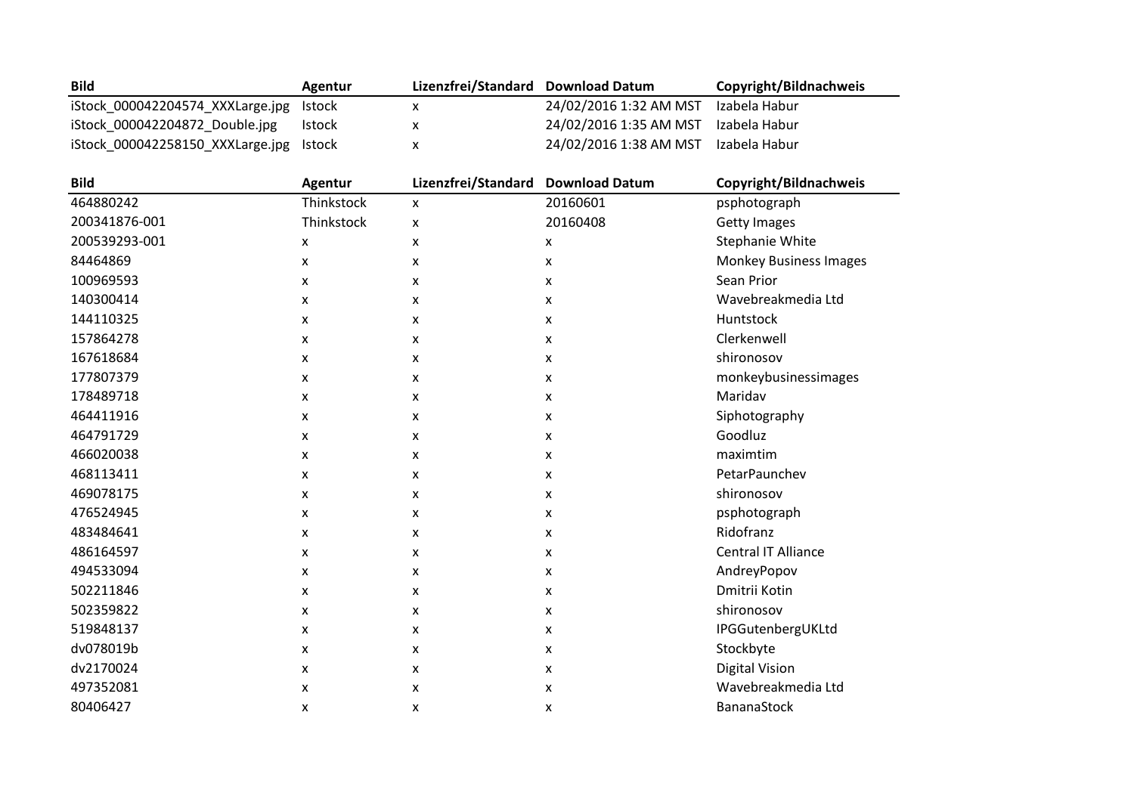| <b>Bild</b>                             | Agentur | Lizenzfrei/Standard Download Datum |                                      | Copyright/Bildnachweis |
|-----------------------------------------|---------|------------------------------------|--------------------------------------|------------------------|
| iStock 000042204574 XXXLarge.jpg Istock |         |                                    | 24/02/2016 1:32 AM MST               | Izabela Habur          |
| iStock 000042204872 Double.jpg          | Istock  |                                    | 24/02/2016 1:35 AM MST Izabela Habur |                        |
| iStock 000042258150 XXXLarge.jpg Istock |         |                                    | 24/02/2016 1:38 AM MST Izabela Habur |                        |

| <b>Bild</b>   | <b>Agentur</b>            | Lizenzfrei/Standard | <b>Download Datum</b>     | Copyright/Bildnachweis        |  |
|---------------|---------------------------|---------------------|---------------------------|-------------------------------|--|
| 464880242     | Thinkstock                | $\pmb{\mathsf{X}}$  | 20160601                  | psphotograph                  |  |
| 200341876-001 | Thinkstock                | X                   | 20160408                  | <b>Getty Images</b>           |  |
| 200539293-001 | $\boldsymbol{\mathsf{x}}$ | x                   | $\pmb{\mathsf{X}}$        | <b>Stephanie White</b>        |  |
| 84464869      | X                         | x                   | $\pmb{\mathsf{X}}$        | <b>Monkey Business Images</b> |  |
| 100969593     | X                         | x                   | X                         | Sean Prior                    |  |
| 140300414     | X                         | x                   | $\boldsymbol{\mathsf{X}}$ | Wavebreakmedia Ltd            |  |
| 144110325     | X                         | x                   | $\pmb{\mathsf{X}}$        | Huntstock                     |  |
| 157864278     | X                         | x                   | X                         | Clerkenwell                   |  |
| 167618684     | $\boldsymbol{\mathsf{x}}$ | X                   | $\boldsymbol{\mathsf{X}}$ | shironosov                    |  |
| 177807379     | X                         | x                   | $\pmb{\mathsf{X}}$        | monkeybusinessimages          |  |
| 178489718     | X                         | x                   | $\pmb{\mathsf{X}}$        | Maridav                       |  |
| 464411916     | X                         | x                   | $\pmb{\mathsf{X}}$        | Siphotography                 |  |
| 464791729     | X                         | x                   | $\pmb{\mathsf{X}}$        | Goodluz                       |  |
| 466020038     | X                         | x                   | $\pmb{\mathsf{X}}$        | maximtim                      |  |
| 468113411     | X                         | x                   | $\pmb{\mathsf{X}}$        | PetarPaunchev                 |  |
| 469078175     | X                         | x                   | $\boldsymbol{\mathsf{X}}$ | shironosov                    |  |
| 476524945     | X                         | x                   | $\pmb{\mathsf{X}}$        | psphotograph                  |  |
| 483484641     | X                         | x                   | $\pmb{\mathsf{X}}$        | Ridofranz                     |  |
| 486164597     | X                         | x                   | $\boldsymbol{\mathsf{X}}$ | Central IT Alliance           |  |
| 494533094     | X                         | x                   | $\pmb{\mathsf{X}}$        | AndreyPopov                   |  |
| 502211846     | X                         | x                   | X                         | Dmitrii Kotin                 |  |
| 502359822     | $\boldsymbol{\mathsf{x}}$ | X                   | $\boldsymbol{\mathsf{X}}$ | shironosov                    |  |
| 519848137     | X                         | x                   | $\pmb{\mathsf{X}}$        | IPGGutenbergUKLtd             |  |
| dv078019b     | X                         | x                   | X                         | Stockbyte                     |  |
| dv2170024     | $\boldsymbol{\mathsf{x}}$ | X                   | $\pmb{\mathsf{X}}$        | <b>Digital Vision</b>         |  |
| 497352081     | X                         | x                   | X                         | Wavebreakmedia Ltd            |  |
| 80406427      | x                         | x                   | X                         | <b>BananaStock</b>            |  |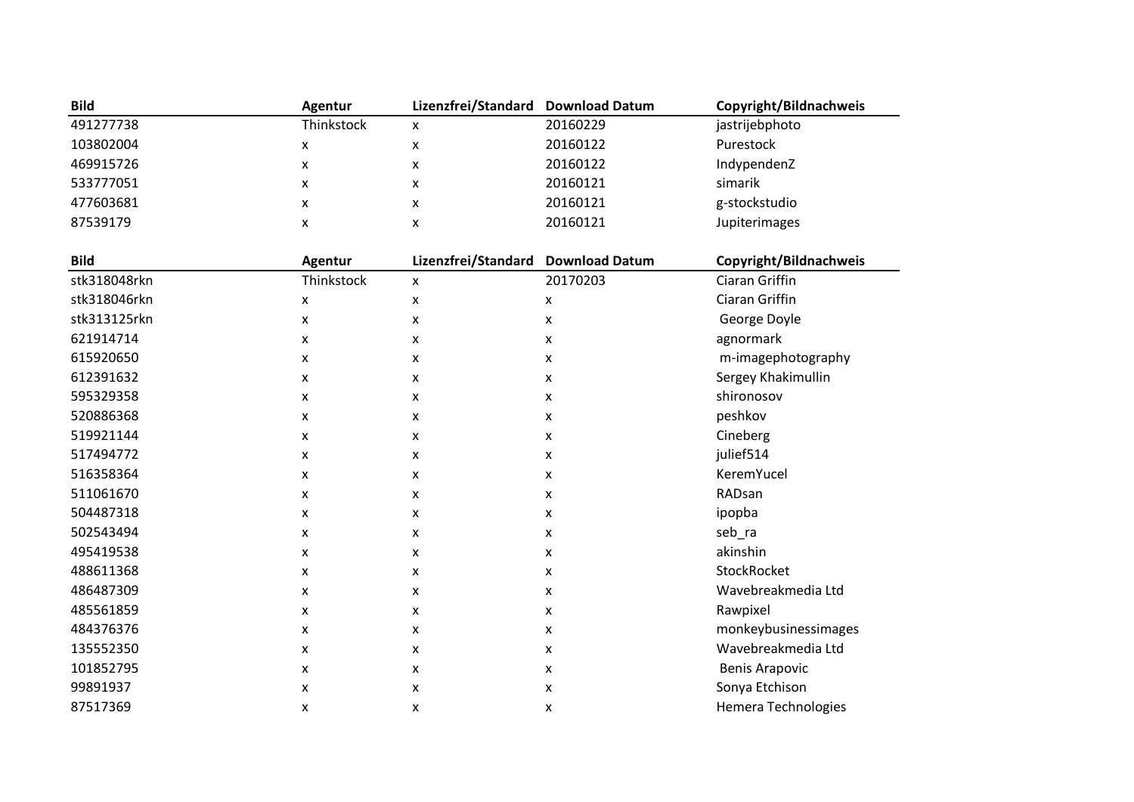| <b>Bild</b>  | Agentur            | Lizenzfrei/Standard | <b>Download Datum</b> | Copyright/Bildnachweis     |  |
|--------------|--------------------|---------------------|-----------------------|----------------------------|--|
| 491277738    | Thinkstock         | X                   | 20160229              | jastrijebphoto             |  |
| 103802004    | X                  | X                   | 20160122              | Purestock                  |  |
| 469915726    | X                  | X                   | 20160122              | IndypendenZ                |  |
| 533777051    | X                  | X                   | 20160121              | simarik                    |  |
| 477603681    | $\pmb{\mathsf{x}}$ | $\pmb{\mathsf{x}}$  | 20160121              | g-stockstudio              |  |
| 87539179     | X                  | $\pmb{\mathsf{X}}$  | 20160121              | Jupiterimages              |  |
|              |                    |                     |                       |                            |  |
| <b>Bild</b>  | <b>Agentur</b>     | Lizenzfrei/Standard | <b>Download Datum</b> | Copyright/Bildnachweis     |  |
| stk318048rkn | Thinkstock         | $\pmb{\times}$      | 20170203              | Ciaran Griffin             |  |
| stk318046rkn | X                  | $\mathsf{x}$        | x                     | Ciaran Griffin             |  |
| stk313125rkn | X                  | X                   | X                     | George Doyle               |  |
| 621914714    | x                  | X                   | x                     | agnormark                  |  |
| 615920650    | X                  | $\mathsf{x}$        | X                     | m-imagephotography         |  |
| 612391632    | X                  | X                   | X                     | Sergey Khakimullin         |  |
| 595329358    | x                  | X                   | X                     | shironosov                 |  |
| 520886368    | X                  | X                   | x                     | peshkov                    |  |
| 519921144    | X                  | X                   | X                     | Cineberg                   |  |
| 517494772    | x                  | X                   | X                     | julief514                  |  |
| 516358364    | X                  | $\pmb{\mathsf{X}}$  | x                     | KeremYucel                 |  |
| 511061670    | X                  | X                   | X                     | RADsan                     |  |
| 504487318    | X                  | X                   | x                     | ipopba                     |  |
| 502543494    | x                  | $\pmb{\mathsf{X}}$  | x                     | seb_ra                     |  |
| 495419538    | X                  | X                   | X                     | akinshin                   |  |
| 488611368    | X                  | X                   | X                     | StockRocket                |  |
| 486487309    | X                  | $\pmb{\mathsf{x}}$  | X                     | Wavebreakmedia Ltd         |  |
| 485561859    | X                  | $\pmb{\mathsf{x}}$  | X                     | Rawpixel                   |  |
| 484376376    | x                  | X                   | X                     | monkeybusinessimages       |  |
| 135552350    | x                  | $\mathsf{x}$        | x                     | Wavebreakmedia Ltd         |  |
| 101852795    | x                  | X                   | X                     | <b>Benis Arapovic</b>      |  |
| 99891937     | x                  | X                   | X                     | Sonya Etchison             |  |
| 87517369     | X                  | X                   | X                     | <b>Hemera Technologies</b> |  |